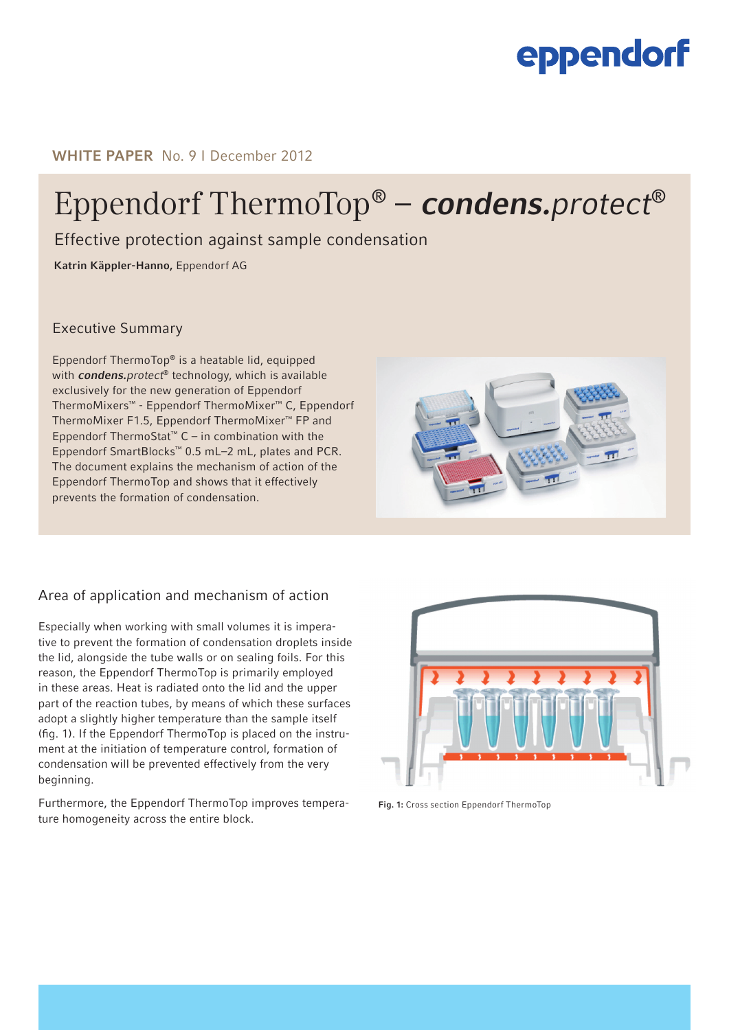## eppendorf

WHITE PAPER No. 9 | December 2012

# Eppendorf ThermoTop® – **condens.**protect®

Effective protection against sample condensation

Katrin Käppler-Hanno, Eppendorf AG

### Executive Summary

Eppendorf ThermoTop® is a heatable lid, equipped with condens.protect<sup>®</sup> technology, which is available exclusively for the new generation of Eppendorf ThermoMixers™ - Eppendorf ThermoMixer™ C, Eppendorf ThermoMixer F1.5, Eppendorf ThermoMixer™ FP and Eppendorf ThermoStat<sup>™</sup> C – in combination with the Eppendorf SmartBlocks™ 0.5 mL–2 mL, plates and PCR. The document explains the mechanism of action of the Eppendorf ThermoTop and shows that it effectively prevents the formation of condensation.

### Area of application and mechanism of action

Especially when working with small volumes it is imperative to prevent the formation of condensation droplets inside the lid, alongside the tube walls or on sealing foils. For this reason, the Eppendorf ThermoTop is primarily employed in these areas. Heat is radiated onto the lid and the upper part of the reaction tubes, by means of which these surfaces adopt a slightly higher temperature than the sample itself (fig. 1). If the Eppendorf ThermoTop is placed on the instrument at the initiation of temperature control, formation of condensation will be prevented effectively from the very beginning.

Furthermore, the Eppendorf ThermoTop improves temperature homogeneity across the entire block.



Fig. 1: Cross section Eppendorf ThermoTop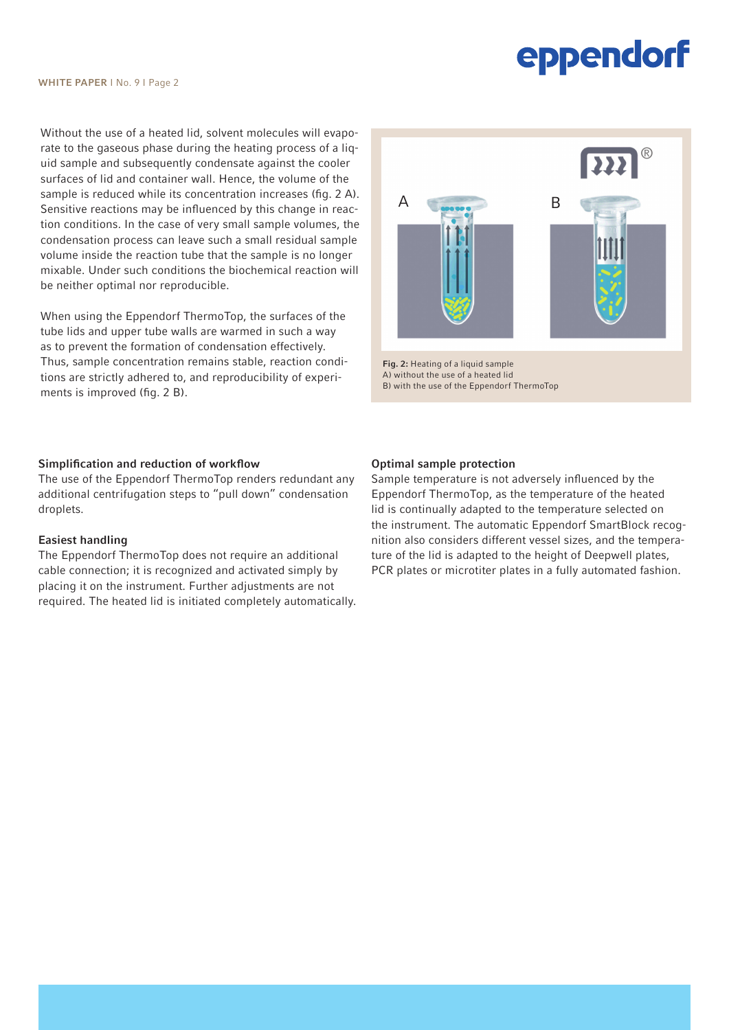# eppendorf

Without the use of a heated lid, solvent molecules will evaporate to the gaseous phase during the heating process of a liquid sample and subsequently condensate against the cooler surfaces of lid and container wall. Hence, the volume of the sample is reduced while its concentration increases (fig. 2 A). Sensitive reactions may be influenced by this change in reaction conditions. In the case of very small sample volumes, the condensation process can leave such a small residual sample volume inside the reaction tube that the sample is no longer mixable. Under such conditions the biochemical reaction will be neither optimal nor reproducible.

When using the Eppendorf ThermoTop, the surfaces of the tube lids and upper tube walls are warmed in such a way as to prevent the formation of condensation effectively. Thus, sample concentration remains stable, reaction conditions are strictly adhered to, and reproducibility of experiments is improved (fig. 2 B).

#### Simplification and reduction of workflow

The use of the Eppendorf ThermoTop renders redundant any additional centrifugation steps to "pull down" condensation droplets.

#### Easiest handling

The Eppendorf ThermoTop does not require an additional cable connection; it is recognized and activated simply by placing it on the instrument. Further adjustments are not required. The heated lid is initiated completely automatically.



Fig. 2: Heating of a liquid sample A) without the use of a heated lid B) with the use of the Eppendorf ThermoTop

#### Optimal sample protection

Sample temperature is not adversely influenced by the Eppendorf ThermoTop, as the temperature of the heated lid is continually adapted to the temperature selected on the instrument. The automatic Eppendorf SmartBlock recognition also considers different vessel sizes, and the temperature of the lid is adapted to the height of Deepwell plates, PCR plates or microtiter plates in a fully automated fashion.